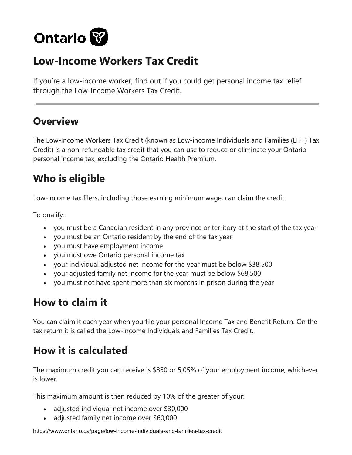

## **Low-Income Workers Tax Credit**

If you're a low-income worker, find out if you could get personal income tax relief through the Low-Income Workers Tax Credit.

#### **Overview**

The Low-Income Workers Tax Credit (known as Low-income Individuals and Families (LIFT) Tax Credit) is a non-refundable tax credit that you can use to reduce or eliminate your Ontario personal income tax, excluding the Ontario Health Premium.

## **Who is eligible**

Low-income tax filers, including those earning minimum wage, can claim the credit.

To qualify:

- you must be a Canadian resident in any province or territory at the start of the tax year
- you must be an Ontario resident by the end of the tax year
- you must have employment income
- you must owe Ontario personal income tax
- your individual adjusted net income for the year must be below \$38,500
- your adjusted family net income for the year must be below \$68,500
- you must not have spent more than six months in prison during the year

# **How to claim it**

You can claim it each year when you file your personal Income Tax and Benefit Return. On the tax return it is called the Low-income Individuals and Families Tax Credit.

# **How it is calculated**

The maximum credit you can receive is \$850 or 5.05% of your employment income, whichever is lower.

This maximum amount is then reduced by 10% of the greater of your:

- adjusted individual net income over \$30,000
- adjusted family net income over \$60,000

https://www.ontario.ca/page/low-income-individuals-and-families-tax-credit